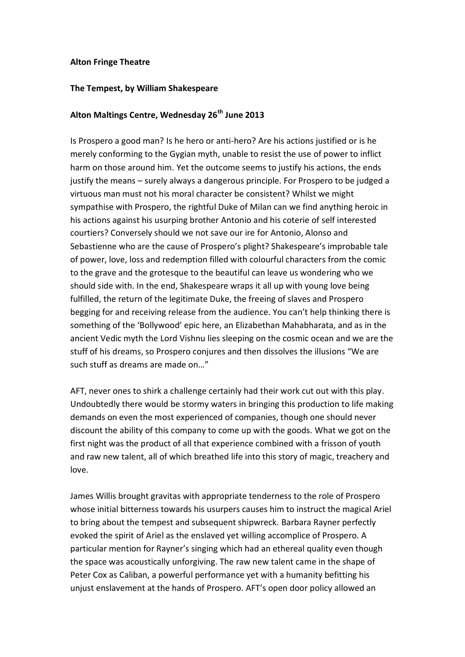## **Alton Fringe Theatre**

## **The Tempest, by William Shakespeare**

## **Alton Maltings Centre, Wednesday 26th June 2013**

Is Prospero a good man? Is he hero or anti-hero? Are his actions justified or is he merely conforming to the Gygian myth, unable to resist the use of power to inflict harm on those around him. Yet the outcome seems to justify his actions, the ends justify the means – surely always a dangerous principle. For Prospero to be judged a virtuous man must not his moral character be consistent? Whilst we might sympathise with Prospero, the rightful Duke of Milan can we find anything heroic in his actions against his usurping brother Antonio and his coterie of self interested courtiers? Conversely should we not save our ire for Antonio, Alonso and Sebastienne who are the cause of Prospero's plight? Shakespeare's improbable tale of power, love, loss and redemption filled with colourful characters from the comic to the grave and the grotesque to the beautiful can leave us wondering who we should side with. In the end, Shakespeare wraps it all up with young love being fulfilled, the return of the legitimate Duke, the freeing of slaves and Prospero begging for and receiving release from the audience. You can't help thinking there is something of the 'Bollywood' epic here, an Elizabethan Mahabharata, and as in the ancient Vedic myth the Lord Vishnu lies sleeping on the cosmic ocean and we are the stuff of his dreams, so Prospero conjures and then dissolves the illusions "We are such stuff as dreams are made on  $"$ 

AFT, never ones to shirk a challenge certainly had their work cut out with this play. Undoubtedly there would be stormy waters in bringing this production to life making demands on even the most experienced of companies, though one should never discount the ability of this company to come up with the goods. What we got on the first night was the product of all that experience combined with a frisson of youth and raw new talent, all of which breathed life into this story of magic, treachery and love.

James Willis brought gravitas with appropriate tenderness to the role of Prospero whose initial bitterness towards his usurpers causes him to instruct the magical Ariel to bring about the tempest and subsequent shipwreck. Barbara Rayner perfectly evoked the spirit of Ariel as the enslaved yet willing accomplice of Prospero. A particular mention for Rayner's singing which had an ethereal quality even though the space was acoustically unforgiving. The raw new talent came in the shape of Peter Cox as Caliban, a powerful performance yet with a humanity befitting his unjust enslavement at the hands of Prospero. AFT's open door policy allowed an